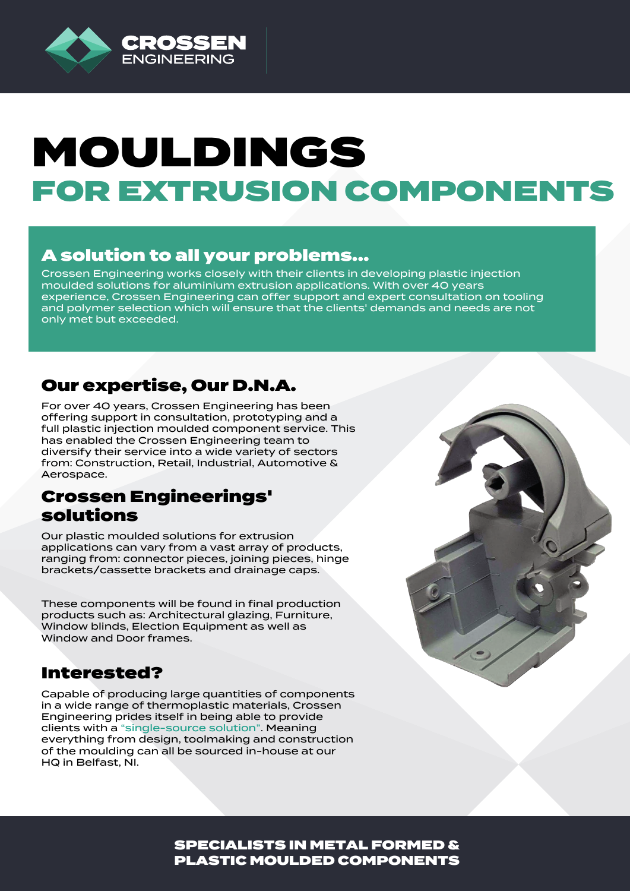

# MOULDINGS FOR EXTRUSION COMPONENTS

# A solution to all your problems...

Crossen Engineering works closely with their clients in developing plastic injection moulded solutions for aluminium extrusion applications. With over 40 years experience, Crossen Engineering can offer support and expert consultation on tooling and polymer selection which will ensure that the clients' demands and needs are not only met but exceeded.

#### Our expertise, Our D.N.A.

For over 40 years, Crossen Engineering has been offering support in consultation, prototyping and a full plastic injection moulded component service. This has enabled the Crossen Engineering team to diversify their service into a wide variety of sectors from: Construction, Retail, Industrial, Automotive & Aerospace.

#### Crossen Engineerings' solutions

Our plastic moulded solutions for extrusion applications can vary from a vast array of products, ranging from: connector pieces, joining pieces, hinge brackets/cassette brackets and drainage caps.

These components will be found in final production products such as: Architectural glazing, Furniture, Window blinds, Election Equipment as well as Window and Door frames.

#### Interested?

Capable of producing large quantities of components in a wide range of thermoplastic materials, Crossen Engineering prides itself in being able to provide clients with a "single-source solution". Meaning everything from design, toolmaking and construction of the moulding can all be sourced in-house at our HQ in Belfast, NI.



SPECIALISTS IN METAL FORMED & PLASTIC MOULDED COMPONENTS